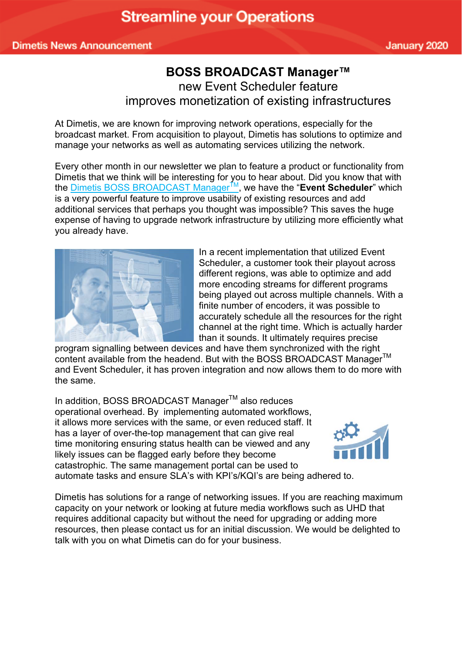## **BOSS BROADCAST Manager™**  new Event Scheduler feature improves monetization of existing infrastructures

At Dimetis, we are known for improving network operations, especially for the broadcast market. From acquisition to playout, Dimetis has solutions to optimize and manage your networks as well as automating services utilizing the network.

Every other month in our newsletter we plan to feature a product or functionality from Dimetis that we think will be interesting for you to hear about. Did you know that with the **Dimetis BOSS BROADCAST Manager<sup>™</sup>, we have the "Event Scheduler**" which is a very powerful feature to improve usability of existing resources and add additional services that perhaps you thought was impossible? This saves the huge expense of having to upgrade network infrastructure by utilizing more efficiently what you already have.



In a recent implementation that utilized Event Scheduler, a customer took their playout across different regions, was able to optimize and add more encoding streams for different programs being played out across multiple channels. With a finite number of encoders, it was possible to accurately schedule all the resources for the right channel at the right time. Which is actually harder than it sounds. It ultimately requires precise

program signalling between devices and have them synchronized with the right content available from the headend. But with the BOSS BROADCAST Manager<sup>™</sup> and Event Scheduler, it has proven integration and now allows them to do more with the same.

In addition, BOSS BROADCAST Manager™ also reduces operational overhead. By implementing automated workflows, it allows more services with the same, or even reduced staff. It has a layer of over-the-top management that can give real time monitoring ensuring status health can be viewed and any likely issues can be flagged early before they become catastrophic. The same management portal can be used to automate tasks and ensure SLA's with KPI's/KQI's are being adhered to.



Dimetis has solutions for a range of networking issues. If you are reaching maximum capacity on your network or looking at future media workflows such as UHD that requires additional capacity but without the need for upgrading or adding more resources, then please contact us for an initial discussion. We would be delighted to talk with you on what Dimetis can do for your business.